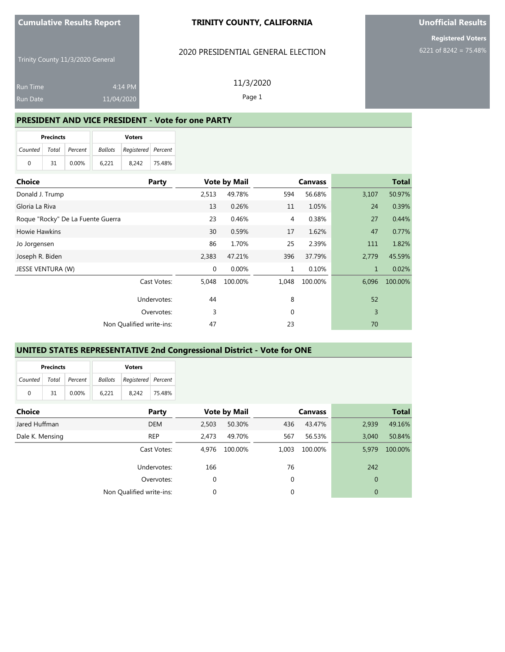#### **TRINITY COUNTY, CALIFORNIA**

#### 2020 PRESIDENTIAL GENERAL ELECTION

11/3/2020 Page 1

Trinity County 11/3/2020 General

| Run Time | $4:14$ PM  |
|----------|------------|
| Run Date | 11/04/2020 |

**PRESIDENT AND VICE PRESIDENT - Vote for one PARTY**

| <b>Precincts</b>          |    |       | <b>Voters</b> |                                   |        |  |  |
|---------------------------|----|-------|---------------|-----------------------------------|--------|--|--|
| Counted   Total   Percent |    |       |               | <b>Ballots</b> Registered Percent |        |  |  |
| $\Omega$                  | 31 | 0.00% | 6.221         | 8.242                             | 75.48% |  |  |

| <b>Choice</b>                     | Party                    | <b>Vote by Mail</b> |         | <b>Canvass</b> |         |              | <b>Total</b> |
|-----------------------------------|--------------------------|---------------------|---------|----------------|---------|--------------|--------------|
| Donald J. Trump                   |                          | 2,513               | 49.78%  | 594            | 56.68%  | 3,107        | 50.97%       |
| Gloria La Riva                    |                          | 13                  | 0.26%   | 11             | 1.05%   | 24           | 0.39%        |
| Roque "Rocky" De La Fuente Guerra |                          | 23                  | 0.46%   | 4              | 0.38%   | 27           | 0.44%        |
| <b>Howie Hawkins</b>              |                          | 30                  | 0.59%   | 17             | 1.62%   | 47           | 0.77%        |
| Jo Jorgensen                      |                          | 86                  | 1.70%   | 25             | 2.39%   | 111          | 1.82%        |
| Joseph R. Biden                   |                          | 2,383               | 47.21%  | 396            | 37.79%  | 2,779        | 45.59%       |
| JESSE VENTURA (W)                 |                          | $\mathbf{0}$        | 0.00%   | $\mathbf{1}$   | 0.10%   | $\mathbf{1}$ | 0.02%        |
|                                   | Cast Votes:              | 5,048               | 100.00% | 1,048          | 100.00% | 6,096        | 100.00%      |
|                                   | Undervotes:              | 44                  |         | 8              |         | 52           |              |
|                                   | Overvotes:               | 3                   |         | $\mathbf 0$    |         | 3            |              |
|                                   | Non Qualified write-ins: | 47                  |         | 23             |         | 70           |              |

## **UNITED STATES REPRESENTATIVE 2nd Congressional District - Vote for ONE**

| <b>Precincts</b> |    |                 | <b>Voters</b> |                                   |        |  |  |
|------------------|----|-----------------|---------------|-----------------------------------|--------|--|--|
| Counted          |    | Total   Percent |               | <b>Ballots</b> Registered Percent |        |  |  |
| 0                | 31 | $0.00\%$        | 6.221         | 8.242                             | 75.48% |  |  |

| <b>Choice</b>   | Party                    |       | <b>Vote by Mail</b> |       | <b>Canvass</b> |              | <b>Total</b> |
|-----------------|--------------------------|-------|---------------------|-------|----------------|--------------|--------------|
| Jared Huffman   | <b>DEM</b>               | 2,503 | 50.30%              | 436   | 43.47%         | 2,939        | 49.16%       |
| Dale K. Mensing | <b>REP</b>               | 2.473 | 49.70%              | 567   | 56.53%         | 3,040        | 50.84%       |
|                 | Cast Votes:              | 4.976 | 100.00%             | 1.003 | 100.00%        | 5.979        | 100.00%      |
|                 | Undervotes:              | 166   |                     | 76    |                | 242          |              |
|                 | Overvotes:               | 0     |                     | 0     |                | $\mathbf{0}$ |              |
|                 | Non Qualified write-ins: | 0     |                     | 0     |                | $\mathbf{0}$ |              |

## **Unofficial Results**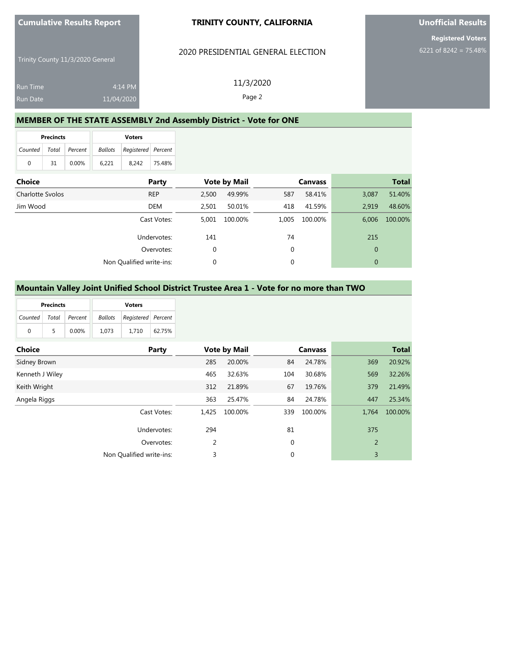#### **TRINITY COUNTY, CALIFORNIA**

#### 2020 PRESIDENTIAL GENERAL ELECTION

Trinity County 11/3/2020 General

|                 |            | 11/3/2020 |
|-----------------|------------|-----------|
| <b>Run Time</b> | 4:14 PM    |           |
| <b>Run Date</b> | 11/04/2020 | Page 2    |

## **MEMBER OF THE STATE ASSEMBLY 2nd Assembly District - Vote for ONE**

| <b>Precincts</b>      |    |       | <b>Voters</b> |                                   |        |  |  |
|-----------------------|----|-------|---------------|-----------------------------------|--------|--|--|
| Counted Total Percent |    |       |               | <b>Ballots</b> Registered Percent |        |  |  |
| $\Omega$              | 31 | 0.00% | 6.221         | 8.242                             | 75.48% |  |  |

| <b>Choice</b>    | Party                    |             | <b>Vote by Mail</b> |       | <b>Canvass</b> |              | <b>Total</b> |
|------------------|--------------------------|-------------|---------------------|-------|----------------|--------------|--------------|
| Charlotte Svolos | <b>REP</b>               | 2.500       | 49.99%              | 587   | 58.41%         | 3,087        | 51.40%       |
| Jim Wood         | <b>DEM</b>               | 2,501       | 50.01%              | 418   | 41.59%         | 2,919        | 48.60%       |
|                  | Cast Votes:              | 5.001       | 100.00%             | 1,005 | 100.00%        | 6,006        | 100.00%      |
|                  | Undervotes:              | 141         |                     | 74    |                | 215          |              |
|                  | Overvotes:               | $\mathbf 0$ |                     | 0     |                | $\mathbf{0}$ |              |
|                  | Non Qualified write-ins: | 0           |                     | 0     |                | $\mathbf{0}$ |              |

#### **Mountain Valley Joint Unified School District Trustee Area 1 - Vote for no more than TWO**

| <b>Precincts</b>      |    |          |         | <b>Voters</b>      |        |
|-----------------------|----|----------|---------|--------------------|--------|
| Counted Total Percent |    |          | Ballots | Registered Percent |        |
| $\Omega$              | 5. | $0.00\%$ | 1.073   | 1.710              | 62.75% |

| <b>Choice</b>   | Party                    |       | <b>Vote by Mail</b> |     | <b>Canvass</b> |       | <b>Total</b> |
|-----------------|--------------------------|-------|---------------------|-----|----------------|-------|--------------|
| Sidney Brown    |                          | 285   | 20.00%              | 84  | 24.78%         | 369   | 20.92%       |
| Kenneth J Wiley |                          | 465   | 32.63%              | 104 | 30.68%         | 569   | 32.26%       |
| Keith Wright    |                          | 312   | 21.89%              | 67  | 19.76%         | 379   | 21.49%       |
| Angela Riggs    |                          | 363   | 25.47%              | 84  | 24.78%         | 447   | 25.34%       |
|                 | Cast Votes:              | 1.425 | 100.00%             | 339 | 100.00%        | 1,764 | 100.00%      |
|                 | Undervotes:              | 294   |                     | 81  |                | 375   |              |
|                 | Overvotes:               | 2     |                     | 0   |                | 2     |              |
|                 | Non Qualified write-ins: | 3     |                     | 0   |                | 3     |              |

**Unofficial Results**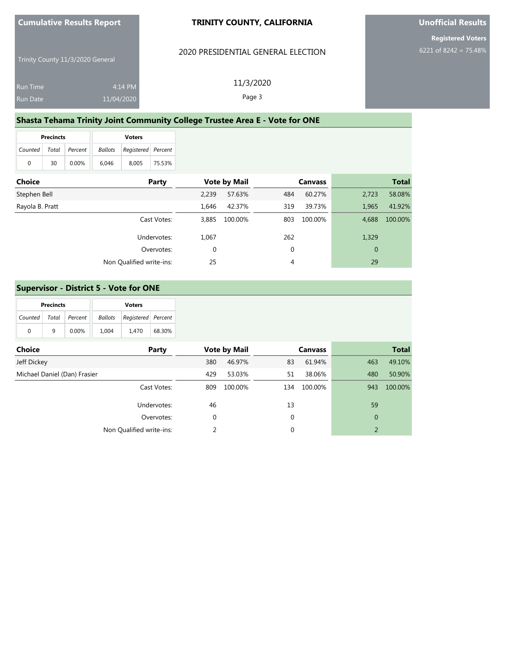#### **TRINITY COUNTY, CALIFORNIA**

#### 2020 PRESIDENTIAL GENERAL ELECTION

Trinity County 11/3/2020 General

| <b>Run Time</b> | $4:14$ PM  | 11/3/2020 |
|-----------------|------------|-----------|
| <b>Run Date</b> | 11/04/2020 | Page 3    |

## **Shasta Tehama Trinity Joint Community College Trustee Area E - Vote for ONE**

| <b>Precincts</b>      |    |       |         | <b>Voters</b>      |        |
|-----------------------|----|-------|---------|--------------------|--------|
| Counted Total Percent |    |       | Ballots | Registered Percent |        |
| 0                     | 30 | 0.00% | 6.046   | 8.005              | 75.53% |

| <b>Choice</b>   | Party                    |       | <b>Vote by Mail</b> |     | <b>Canvass</b> |              | <b>Total</b> |
|-----------------|--------------------------|-------|---------------------|-----|----------------|--------------|--------------|
| Stephen Bell    |                          | 2.239 | 57.63%              | 484 | 60.27%         | 2,723        | 58.08%       |
| Rayola B. Pratt |                          | 1.646 | 42.37%              | 319 | 39.73%         | 1,965        | 41.92%       |
|                 | Cast Votes:              | 3.885 | 100.00%             | 803 | 100.00%        | 4,688        | 100.00%      |
|                 | Undervotes:              | 1,067 |                     | 262 |                | 1,329        |              |
|                 | Overvotes:               | 0     |                     | 0   |                | $\mathbf{0}$ |              |
|                 | Non Qualified write-ins: | 25    |                     | 4   |                | 29           |              |

#### **Supervisor - District 5 - Vote for ONE**

|               | <b>Precincts</b><br><b>Voters</b> |          |                |                    |        |
|---------------|-----------------------------------|----------|----------------|--------------------|--------|
| Counted Total |                                   | Percent  | <b>Ballots</b> | Registered Percent |        |
| $\Omega$      | q                                 | $0.00\%$ | 1.004          | 1.470              | 68.30% |

| <b>Choice</b>                | Party                    |     | <b>Vote by Mail</b> |             | <b>Canvass</b> |                | <b>Total</b> |
|------------------------------|--------------------------|-----|---------------------|-------------|----------------|----------------|--------------|
| Jeff Dickey                  |                          | 380 | 46.97%              | 83          | 61.94%         | 463            | 49.10%       |
| Michael Daniel (Dan) Frasier |                          | 429 | 53.03%              | 51          | 38.06%         | 480            | 50.90%       |
|                              | Cast Votes:              | 809 | 100.00%             | 134         | 100.00%        | 943            | 100.00%      |
|                              | Undervotes:              | 46  |                     | 13          |                | 59             |              |
|                              | Overvotes:               | 0   |                     | $\mathbf 0$ |                | $\mathbf{0}$   |              |
|                              | Non Qualified write-ins: |     |                     | $\mathbf 0$ |                | $\overline{2}$ |              |

**Unofficial Results**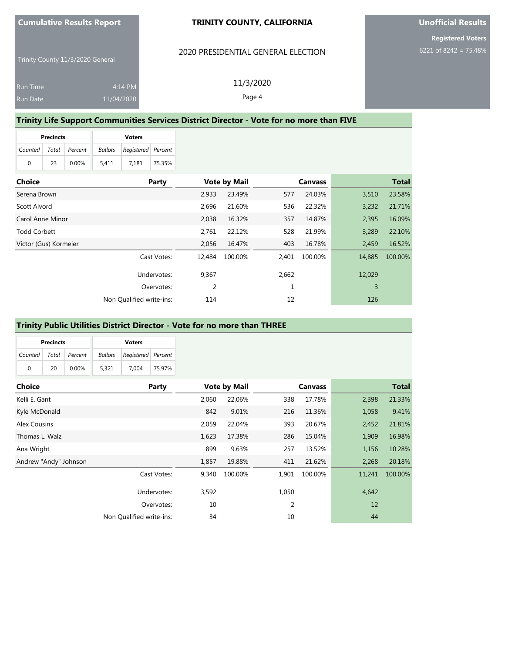#### **TRINITY COUNTY, CALIFORNIA**

#### 2020 PRESIDENTIAL GENERAL ELECTION

11/3/2020 Page 4

Trinity County 11/3/2020 General

| <b>Run Time</b> | 4:14 PM    |
|-----------------|------------|
| <b>Run Date</b> | 11/04/2020 |

## **Trinity Life Support Communities Services District Director - Vote for no more than FIVE**

| <b>Precincts</b>      |    |          |       | <b>Voters</b>                     |        |
|-----------------------|----|----------|-------|-----------------------------------|--------|
| Counted Total Percent |    |          |       | <b>Ballots</b> Registered Percent |        |
| 0                     | 23 | $0.00\%$ | 5.411 | 7.181                             | 75.35% |

| <b>Choice</b>         | Party                    |        | <b>Vote by Mail</b> |       | <b>Canvass</b> |        | <b>Total</b> |
|-----------------------|--------------------------|--------|---------------------|-------|----------------|--------|--------------|
| Serena Brown          |                          | 2.933  | 23.49%              | 577   | 24.03%         | 3,510  | 23.58%       |
| Scott Alvord          |                          | 2,696  | 21.60%              | 536   | 22.32%         | 3,232  | 21.71%       |
| Carol Anne Minor      |                          | 2.038  | 16.32%              | 357   | 14.87%         | 2,395  | 16.09%       |
| <b>Todd Corbett</b>   |                          | 2,761  | 22.12%              | 528   | 21.99%         | 3,289  | 22.10%       |
| Victor (Gus) Kormeier |                          | 2.056  | 16.47%              | 403   | 16.78%         | 2,459  | 16.52%       |
|                       | Cast Votes:              | 12.484 | 100.00%             | 2,401 | 100.00%        | 14,885 | 100.00%      |
|                       | Undervotes:              | 9,367  |                     | 2,662 |                | 12,029 |              |
|                       | Overvotes:               | 2      |                     |       |                | 3      |              |
|                       | Non Qualified write-ins: | 114    |                     | 12    |                | 126    |              |

### **Trinity Public Utilities District Director - Vote for no more than THREE**

|                       | <b>Precincts</b><br><b>Voters</b> |       |         |                    |        |
|-----------------------|-----------------------------------|-------|---------|--------------------|--------|
| Counted Total Percent |                                   |       | Ballots | Registered Percent |        |
| 0                     | 20                                | 0.00% | 5.321   | 7.004              | 75.97% |

| <b>Choice</b>         | Party                    |       | <b>Vote by Mail</b> |       | <b>Canvass</b> |        | <b>Total</b> |
|-----------------------|--------------------------|-------|---------------------|-------|----------------|--------|--------------|
| Kelli E. Gant         |                          | 2,060 | 22.06%              | 338   | 17.78%         | 2,398  | 21.33%       |
| Kyle McDonald         |                          | 842   | 9.01%               | 216   | 11.36%         | 1,058  | 9.41%        |
| Alex Cousins          |                          | 2,059 | 22.04%              | 393   | 20.67%         | 2,452  | 21.81%       |
| Thomas L. Walz        |                          | 1,623 | 17.38%              | 286   | 15.04%         | 1,909  | 16.98%       |
| Ana Wright            |                          | 899   | 9.63%               | 257   | 13.52%         | 1,156  | 10.28%       |
| Andrew "Andy" Johnson |                          | 1,857 | 19.88%              | 411   | 21.62%         | 2,268  | 20.18%       |
|                       | Cast Votes:              | 9,340 | 100.00%             | 1,901 | 100.00%        | 11,241 | 100.00%      |
|                       | Undervotes:              | 3,592 |                     | 1,050 |                | 4,642  |              |
|                       | Overvotes:               | 10    |                     | 2     |                | 12     |              |
|                       | Non Qualified write-ins: | 34    |                     | 10    |                | 44     |              |

## **Unofficial Results**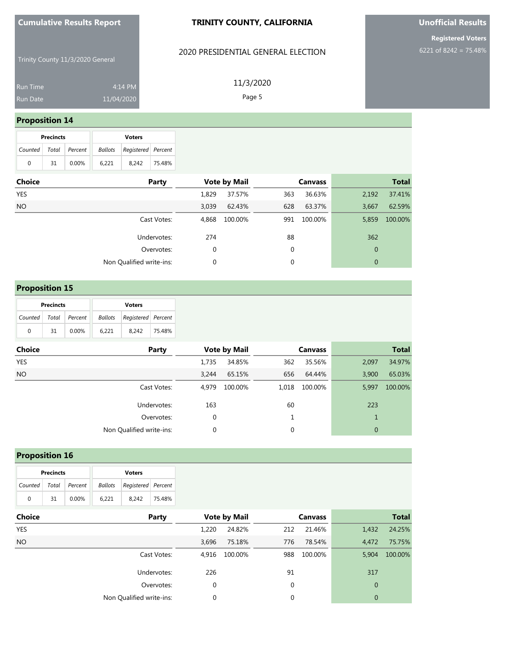#### **TRINITY COUNTY, CALIFORNIA**

### 2020 PRESIDENTIAL GENERAL ELECTION

Trinity County 11/3/2020 General

| <b>Run Time</b> | $4:14$ PM  |
|-----------------|------------|
| <b>Run Date</b> | 11/04/2020 |

11/3/2020 Page 5

## **Proposition 14**

| <b>Precincts</b> |    |               |         | <b>Voters</b>      |        |
|------------------|----|---------------|---------|--------------------|--------|
| Counted          |    | Total Percent | Ballots | Registered Percent |        |
| 0                | 31 | $0.00\%$      | 6.221   | 8.242              | 75.48% |

| Choice     | Party                    |             | <b>Vote by Mail</b> |             | <b>Canvass</b> |              | <b>Total</b> |
|------------|--------------------------|-------------|---------------------|-------------|----------------|--------------|--------------|
| <b>YES</b> |                          | 1,829       | 37.57%              | 363         | 36.63%         | 2,192        | 37.41%       |
| <b>NO</b>  |                          | 3,039       | 62.43%              | 628         | 63.37%         | 3,667        | 62.59%       |
|            | Cast Votes:              | 4,868       | 100.00%             | 991         | 100.00%        | 5,859        | 100.00%      |
|            | Undervotes:              | 274         |                     | 88          |                | 362          |              |
|            | Overvotes:               | $\mathbf 0$ |                     | $\mathbf 0$ |                | $\mathbf{0}$ |              |
|            | Non Qualified write-ins: | 0           |                     | $\mathbf 0$ |                | 0            |              |

## **Proposition 15**

|                       | <b>Precincts</b> |          | <b>Voters</b> |                                   |        |
|-----------------------|------------------|----------|---------------|-----------------------------------|--------|
| Counted Total Percent |                  |          |               | <b>Ballots</b> Registered Percent |        |
| 0                     | 31               | $0.00\%$ | 6.221         | 8.242                             | 75.48% |

| <b>Choice</b> | Party                    |       | <b>Vote by Mail</b> |       | <b>Canvass</b> |              | <b>Total</b> |
|---------------|--------------------------|-------|---------------------|-------|----------------|--------------|--------------|
| <b>YES</b>    |                          | 1,735 | 34.85%              | 362   | 35.56%         | 2,097        | 34.97%       |
| <b>NO</b>     |                          | 3.244 | 65.15%              | 656   | 64.44%         | 3,900        | 65.03%       |
|               | Cast Votes:              | 4,979 | 100.00%             | 1,018 | 100.00%        | 5,997        | 100.00%      |
|               | Undervotes:              | 163   |                     | 60    |                | 223          |              |
|               | Overvotes:               | 0     |                     |       |                | 1            |              |
|               | Non Qualified write-ins: | 0     |                     | 0     |                | $\mathbf{0}$ |              |

## **Proposition 16**

| <b>Precincts</b>          |    |       |         | <b>Voters</b>      |        |
|---------------------------|----|-------|---------|--------------------|--------|
| Counted   Total   Percent |    |       | Ballots | Registered Percent |        |
| $\Omega$                  | 31 | 0.00% | 6.221   | 8.242              | 75.48% |

| <b>Choice</b> | Party                    |       | <b>Vote by Mail</b> |     | <b>Canvass</b> |              | <b>Total</b> |
|---------------|--------------------------|-------|---------------------|-----|----------------|--------------|--------------|
| YES           |                          | 1.220 | 24.82%              | 212 | 21.46%         | 1,432        | 24.25%       |
| NO.           |                          | 3,696 | 75.18%              | 776 | 78.54%         | 4,472        | 75.75%       |
|               | Cast Votes:              | 4,916 | 100.00%             | 988 | 100.00%        | 5,904        | 100.00%      |
|               | Undervotes:              | 226   |                     | 91  |                | 317          |              |
|               | Overvotes:               | 0     |                     | 0   |                | $\mathbf{0}$ |              |
|               | Non Qualified write-ins: | 0     |                     | 0   |                | $\mathbf{0}$ |              |

**Unofficial Results**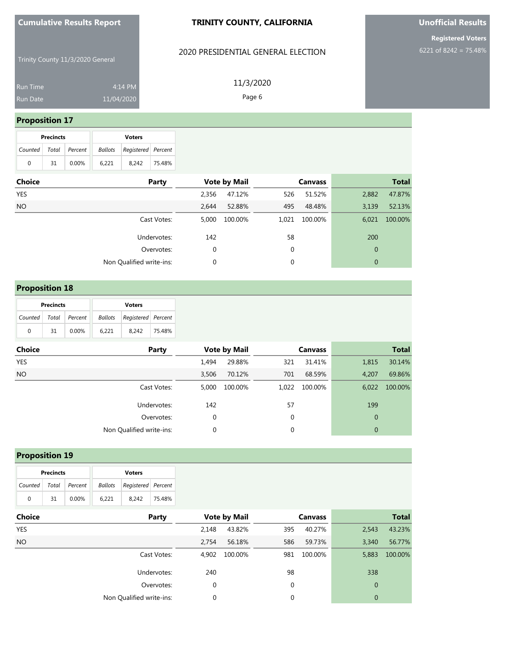#### **TRINITY COUNTY, CALIFORNIA**

### 2020 PRESIDENTIAL GENERAL ELECTION

**Unofficial Results**

**Registered Voters** 6221 of 8242 = 75.48%

Trinity County 11/3/2020 General

| <b>Run Time</b> | $4:14 \,$ PM |
|-----------------|--------------|
| Run Date        | 11/04/2020   |

11/3/2020 Page 6

## **Proposition 17**

| <b>Precincts</b> |    |                       |       | <b>Voters</b>                     |        |
|------------------|----|-----------------------|-------|-----------------------------------|--------|
|                  |    | Counted Total Percent |       | <b>Ballots</b> Registered Percent |        |
| 0                | 31 | $0.00\%$              | 6.221 | 8.242                             | 75.48% |

| Party                    |       |         |                     | <b>Canvass</b> |              | <b>Total</b> |
|--------------------------|-------|---------|---------------------|----------------|--------------|--------------|
|                          | 2,356 | 47.12%  | 526                 | 51.52%         | 2,882        | 47.87%       |
|                          | 2,644 | 52.88%  | 495                 | 48.48%         | 3,139        | 52.13%       |
| Cast Votes:              | 5,000 | 100.00% | 1,021               | 100.00%        | 6,021        | 100.00%      |
| Undervotes:              | 142   |         | 58                  |                | 200          |              |
| Overvotes:               | 0     |         | $\mathbf 0$         |                | $\mathbf{0}$ |              |
| Non Qualified write-ins: | 0     |         | $\mathbf 0$         |                | $\mathbf{0}$ |              |
|                          |       |         | <b>Vote by Mail</b> |                |              |              |

## **Proposition 18**

| <b>Precincts</b>      |    |          |                                   | <b>Voters</b> |        |  |
|-----------------------|----|----------|-----------------------------------|---------------|--------|--|
| Counted Total Percent |    |          | <b>Ballots</b> Registered Percent |               |        |  |
| 0                     | 31 | $0.00\%$ | 6.221                             | 8.242         | 75.48% |  |

| <b>Choice</b> | Party                    |       | <b>Vote by Mail</b> |       | <b>Canvass</b> |              | <b>Total</b> |
|---------------|--------------------------|-------|---------------------|-------|----------------|--------------|--------------|
| YES           |                          | 1.494 | 29.88%              | 321   | 31.41%         | 1,815        | 30.14%       |
| <b>NO</b>     |                          | 3.506 | 70.12%              | 701   | 68.59%         | 4,207        | 69.86%       |
|               | Cast Votes:              | 5.000 | 100.00%             | 1,022 | 100.00%        | 6.022        | 100.00%      |
|               | Undervotes:              | 142   |                     | 57    |                | 199          |              |
|               | Overvotes:               | 0     |                     | 0     |                | $\mathbf{0}$ |              |
|               | Non Qualified write-ins: | 0     |                     | 0     |                | $\mathbf{0}$ |              |

## **Proposition 19**

| <b>Precincts</b> |     |                       |                                | <b>Voters</b> |        |
|------------------|-----|-----------------------|--------------------------------|---------------|--------|
|                  |     | Counted Total Percent | Ballots   Registered   Percent |               |        |
| $\Omega$         | -31 | 0.00%                 | 6.221                          | 8.242         | 75.48% |

| <b>Choice</b><br>Party   |       | <b>Vote by Mail</b> |     | <b>Canvass</b> |              | <b>Total</b> |
|--------------------------|-------|---------------------|-----|----------------|--------------|--------------|
| YES                      | 2.148 | 43.82%              | 395 | 40.27%         | 2,543        | 43.23%       |
| NO.                      | 2,754 | 56.18%              | 586 | 59.73%         | 3,340        | 56.77%       |
| Cast Votes:              | 4,902 | 100.00%             | 981 | 100.00%        | 5,883        | 100.00%      |
| Undervotes:              | 240   |                     | 98  |                | 338          |              |
| Overvotes:               | 0     |                     | 0   |                | $\mathbf{0}$ |              |
| Non Qualified write-ins: | 0     |                     | 0   |                | $\Omega$     |              |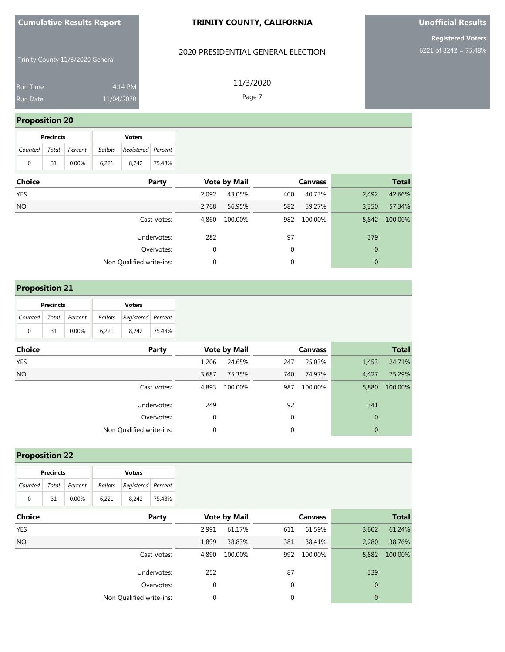#### **TRINITY COUNTY, CALIFORNIA**

### 2020 PRESIDENTIAL GENERAL ELECTION

Trinity County 11/3/2020 General

| <b>Run Time</b> | $4:14 \text{ PM}$ |
|-----------------|-------------------|
| Run Date        | 11/04/2020        |

11/3/2020 Page 7

## **Proposition 20**

| <b>Precincts</b>      |    |          |       | <b>Voters</b>                     |        |
|-----------------------|----|----------|-------|-----------------------------------|--------|
| Counted Total Percent |    |          |       | <b>Ballots</b> Registered Percent |        |
| 0                     | 31 | $0.00\%$ | 6.221 | 8.242                             | 75.48% |

| Choice | Party                    |       | <b>Vote by Mail</b> |             | <b>Canvass</b> |              | <b>Total</b> |
|--------|--------------------------|-------|---------------------|-------------|----------------|--------------|--------------|
| YES    |                          | 2,092 | 43.05%              | 400         | 40.73%         | 2,492        | 42.66%       |
| NO.    |                          | 2,768 | 56.95%              | 582         | 59.27%         | 3,350        | 57.34%       |
|        | Cast Votes:              | 4,860 | 100.00%             | 982         | 100.00%        | 5,842        | 100.00%      |
|        | Undervotes:              | 282   |                     | 97          |                | 379          |              |
|        | Overvotes:               | 0     |                     | $\mathbf 0$ |                | $\mathbf{0}$ |              |
|        | Non Qualified write-ins: | 0     |                     | $\mathbf 0$ |                | 0            |              |
|        |                          |       |                     |             |                |              |              |

## **Proposition 21**

| <b>Precincts</b> |    |                       |       | <b>Voters</b>                     |        |
|------------------|----|-----------------------|-------|-----------------------------------|--------|
|                  |    | Counted Total Percent |       | <b>Ballots</b> Registered Percent |        |
| 0                | 31 | 0.00%                 | 6.221 | 8.242                             | 75.48% |

| <b>Choice</b> | Party                    |             | <b>Vote by Mail</b> |             | <b>Canvass</b> |              | <b>Total</b> |
|---------------|--------------------------|-------------|---------------------|-------------|----------------|--------------|--------------|
| <b>YES</b>    |                          | 1.206       | 24.65%              | 247         | 25.03%         | 1,453        | 24.71%       |
| <b>NO</b>     |                          | 3,687       | 75.35%              | 740         | 74.97%         | 4.427        | 75.29%       |
|               | Cast Votes:              | 4,893       | 100.00%             | 987         | 100.00%        | 5,880        | 100.00%      |
|               | Undervotes:              | 249         |                     | 92          |                | 341          |              |
|               | Overvotes:               | $\mathbf 0$ |                     | $\mathbf 0$ |                | $\mathbf{0}$ |              |
|               | Non Qualified write-ins: | 0           |                     | 0           |                | $\mathbf{0}$ |              |

## **Proposition 22**

| <b>Precincts</b>      |    |       |       | <b>Voters</b>              |        |
|-----------------------|----|-------|-------|----------------------------|--------|
| Counted Total Percent |    |       |       | Ballots Registered Percent |        |
| $\Omega$              | 31 | 0.00% | 6.221 | 8.242                      | 75.48% |

| <b>Choice</b><br>Party   |       | <b>Vote by Mail</b> |     | <b>Canvass</b> |              | <b>Total</b> |
|--------------------------|-------|---------------------|-----|----------------|--------------|--------------|
| YES                      | 2.991 | 61.17%              | 611 | 61.59%         | 3,602        | 61.24%       |
| NO.                      | 1,899 | 38.83%              | 381 | 38.41%         | 2,280        | 38.76%       |
| Cast Votes:              | 4,890 | 100.00%             | 992 | 100.00%        | 5,882        | 100.00%      |
| Undervotes:              | 252   |                     | 87  |                | 339          |              |
| Overvotes:               | 0     |                     | 0   |                | $\mathbf{0}$ |              |
| Non Qualified write-ins: | 0     |                     | 0   |                | $\Omega$     |              |

# **Unofficial Results**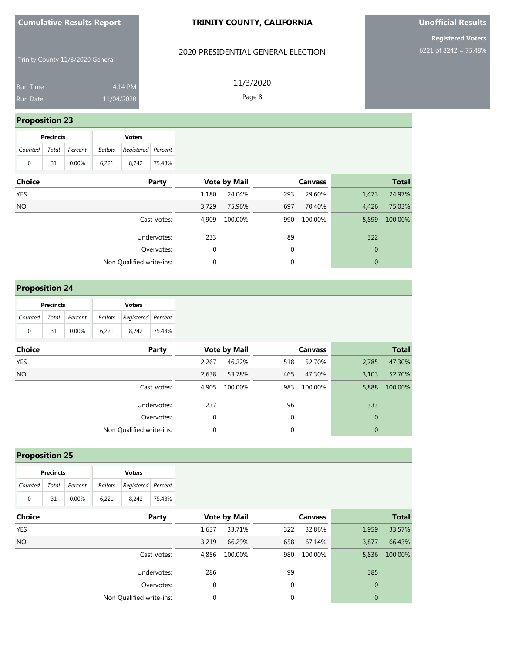#### **TRINITY COUNTY, CALIFORNIA**

### 2020 PRESIDENTIAL GENERAL ELECTION

Trinity County 11/3/2020 General

Run Time 4:14 PM 11/04/2020

11/3/2020 Page 8

### **Proposition 23**

| <b>Precincts</b>      |    |          |         | <b>Voters</b>      |        |
|-----------------------|----|----------|---------|--------------------|--------|
| Counted Total Percent |    |          | Ballots | Registered Percent |        |
| 0                     | 31 | $0.00\%$ | 6.221   | 8.242              | 75.48% |

| Choice | Party                    |       | <b>Vote by Mail</b> |             | <b>Canvass</b> |                | <b>Total</b> |
|--------|--------------------------|-------|---------------------|-------------|----------------|----------------|--------------|
| YES    |                          | 1,180 | 24.04%              | 293         | 29.60%         | 1,473          | 24.97%       |
| NO     |                          | 3,729 | 75.96%              | 697         | 70.40%         | 4,426          | 75.03%       |
|        | Cast Votes:              | 4.909 | 100.00%             | 990         | 100.00%        | 5,899          | 100.00%      |
|        | Undervotes:              | 233   |                     | 89          |                | 322            |              |
|        | Overvotes:               | 0     |                     | 0           |                | $\mathbf 0$    |              |
|        | Non Qualified write-ins: | 0     |                     | $\mathbf 0$ |                | $\overline{0}$ |              |
|        |                          |       |                     |             |                |                |              |

## **Proposition 24**

| <b>Precincts</b>      |    |       |       | <b>Voters</b>                     |        |
|-----------------------|----|-------|-------|-----------------------------------|--------|
| Counted Total Percent |    |       |       | <b>Ballots</b> Registered Percent |        |
| 0                     | 31 | 0.00% | 6.221 | 8.242                             | 75.48% |

| <b>Choice</b> | Party                    |       | <b>Vote by Mail</b> |     | <b>Canvass</b> |              | <b>Total</b> |
|---------------|--------------------------|-------|---------------------|-----|----------------|--------------|--------------|
| <b>YES</b>    |                          | 2.267 | 46.22%              | 518 | 52.70%         | 2,785        | 47.30%       |
| <b>NO</b>     |                          | 2,638 | 53.78%              | 465 | 47.30%         | 3,103        | 52.70%       |
|               | Cast Votes:              | 4,905 | 100.00%             | 983 | 100.00%        | 5,888        | 100.00%      |
|               | Undervotes:              | 237   |                     | 96  |                | 333          |              |
|               | Overvotes:               | 0     |                     | 0   |                | $\mathbf{0}$ |              |
|               | Non Qualified write-ins: | 0     |                     | 0   |                | $\mathbf{0}$ |              |

## **Proposition 25**

| <b>Precincts</b>      |    |       | <b>Voters</b> |                    |        |  |
|-----------------------|----|-------|---------------|--------------------|--------|--|
| Counted Total Percent |    |       | Ballots       | Registered Percent |        |  |
| $\Omega$              | 31 | 0.00% | 6.221         | 8.242              | 75.48% |  |

| <b>Choice</b> | Party                    |       | <b>Vote by Mail</b> |     | <b>Canvass</b> |              | <b>Total</b> |
|---------------|--------------------------|-------|---------------------|-----|----------------|--------------|--------------|
| <b>YES</b>    |                          | 1,637 | 33.71%              | 322 | 32.86%         | 1,959        | 33.57%       |
| <b>NO</b>     |                          | 3.219 | 66.29%              | 658 | 67.14%         | 3,877        | 66.43%       |
|               | Cast Votes:              | 4.856 | 100.00%             | 980 | 100.00%        | 5,836        | 100.00%      |
|               | Undervotes:              | 286   |                     | 99  |                | 385          |              |
|               | Overvotes:               | 0     |                     | 0   |                | $\mathbf{0}$ |              |
|               | Non Qualified write-ins: | 0     |                     | 0   |                | $\mathbf{0}$ |              |

# **Unofficial Results**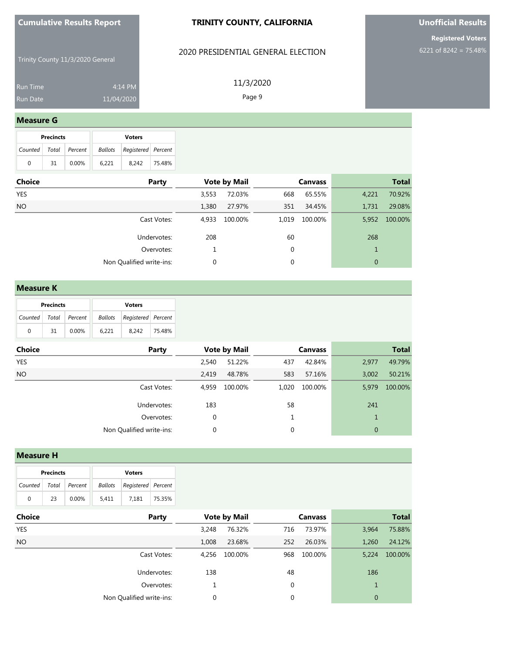#### **TRINITY COUNTY, CALIFORNIA**

### 2020 PRESIDENTIAL GENERAL ELECTION

Trinity County 11/3/2020 General

| <b>Run Time</b> | 4:14 PM    |
|-----------------|------------|
| <b>Run Date</b> | 11/04/2020 |

11/3/2020

## Page 9

#### **Measure G**

|                       | <b>Precincts</b> |          | <b>Voters</b> |                    |        |  |  |
|-----------------------|------------------|----------|---------------|--------------------|--------|--|--|
| Counted Total Percent |                  |          | Ballots       | Registered Percent |        |  |  |
| 0                     | 31               | $0.00\%$ | 6.221         | 8.242              | 75.48% |  |  |

| Choice | Party                    |       | <b>Vote by Mail</b> |       | <b>Canvass</b> |       | <b>Total</b> |
|--------|--------------------------|-------|---------------------|-------|----------------|-------|--------------|
| YES    |                          | 3,553 | 72.03%              | 668   | 65.55%         | 4,221 | 70.92%       |
| NO     |                          | 1,380 | 27.97%              | 351   | 34.45%         | 1,731 | 29.08%       |
|        | Cast Votes:              | 4,933 | 100.00%             | 1,019 | 100.00%        | 5,952 | 100.00%      |
|        | Undervotes:              | 208   |                     | 60    |                | 268   |              |
|        | Overvotes:               |       |                     | 0     |                |       |              |
|        | Non Qualified write-ins: | 0     |                     | 0     |                | 0     |              |
|        |                          |       |                     |       |                |       |              |

#### **Measure K**

| <b>Precincts</b> |    |         | <b>Voters</b>                     |       |        |  |  |
|------------------|----|---------|-----------------------------------|-------|--------|--|--|
| Counted Total    |    | Percent | <b>Ballots</b> Registered Percent |       |        |  |  |
| 0                | 31 | 0.00%   | 6.221                             | 8.242 | 75.48% |  |  |

| <b>Choice</b> | Party                    |             | <b>Vote by Mail</b> |       | <b>Canvass</b> |                | <b>Total</b> |
|---------------|--------------------------|-------------|---------------------|-------|----------------|----------------|--------------|
| YES           |                          | 2.540       | 51.22%              | 437   | 42.84%         | 2,977          | 49.79%       |
| <b>NO</b>     |                          | 2,419       | 48.78%              | 583   | 57.16%         | 3,002          | 50.21%       |
|               | Cast Votes:              | 4.959       | 100.00%             | 1,020 | 100.00%        | 5,979          | 100.00%      |
|               | Undervotes:              | 183         |                     | 58    |                | 241            |              |
|               | Overvotes:               | $\mathbf 0$ |                     |       |                | 1              |              |
|               | Non Qualified write-ins: | 0           |                     | 0     |                | $\overline{0}$ |              |

#### **Measure H**

| <b>Precincts</b> |     |                       | <b>Voters</b>                     |       |        |  |  |
|------------------|-----|-----------------------|-----------------------------------|-------|--------|--|--|
|                  |     | Counted Total Percent | <b>Ballots</b> Registered Percent |       |        |  |  |
| $\Omega$         | -23 | $0.00\%$              | 5.411                             | 7.181 | 75.35% |  |  |

| <b>Choice</b><br>Party   |       | <b>Vote by Mail</b> |     | <b>Canvass</b> |                | <b>Total</b> |
|--------------------------|-------|---------------------|-----|----------------|----------------|--------------|
| YES                      | 3,248 | 76.32%              | 716 | 73.97%         | 3,964          | 75.88%       |
| NO.                      | 1,008 | 23.68%              | 252 | 26.03%         | 1,260          | 24.12%       |
| Cast Votes:              | 4,256 | 100.00%             | 968 | 100.00%        | 5,224          | 100.00%      |
| Undervotes:              | 138   |                     | 48  |                | 186            |              |
| Overvotes:               |       |                     | 0   |                |                |              |
| Non Qualified write-ins: |       |                     | 0   |                | $\overline{0}$ |              |

# **Unofficial Results**